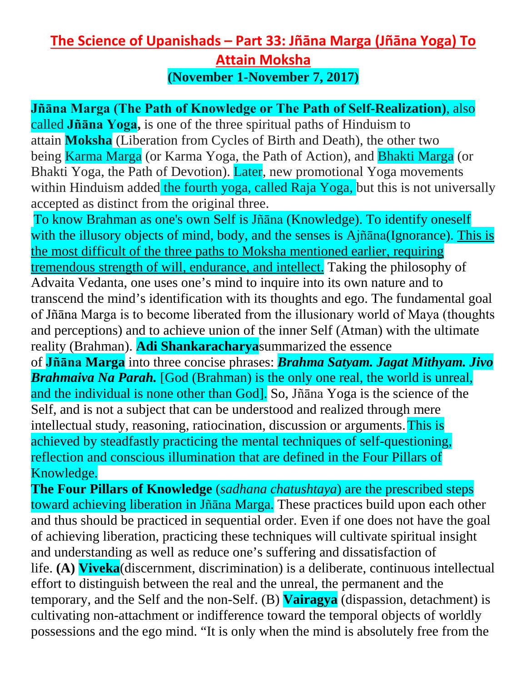## **The Science of Upanishads – Part 33: Jñāna Marga (Jñāna Yoga) To Attain Moksha (November 1-November 7, 2017)**

## **Jñāna Marga (The Path of Knowledge or The Path of Self-Realization)**, also

called **Jñāna Yoga,** is one of the three spiritual paths of Hinduism to attain **Moksha** (Liberation from Cycles of Birth and Death), the other two being Karma Marga (or Karma Yoga, the Path of Action), and Bhakti Marga (or Bhakti Yoga, the Path of Devotion). Later, new promotional Yoga movements within Hinduism added the fourth yoga, called Raja Yoga, but this is not universally accepted as distinct from the original three.

To know Brahman as one's own Self is Jñāna (Knowledge). To identify oneself with the illusory objects of mind, body, and the senses is Ajñāna(Ignorance). This is the most difficult of the three paths to Moksha mentioned earlier, requiring tremendous strength of will, endurance, and intellect. Taking the philosophy of Advaita Vedanta, one uses one's mind to inquire into its own nature and to transcend the mind's identification with its thoughts and ego. The fundamental goal of Jñāna Marga is to become liberated from the illusionary world of Maya (thoughts and perceptions) and to achieve union of the inner Self (Atman) with the ultimate reality (Brahman). **Adi Shankaracharya**summarized the essence

of **Jñāna Marga** into three concise phrases: *Brahma Satyam. Jagat Mithyam. Jivo Brahmaiva Na Parah.* [God (Brahman) is the only one real, the world is unreal, and the individual is none other than God]. So, Jñāna Yoga is the science of the Self, and is not a subject that can be understood and realized through mere intellectual study, reasoning, ratiocination, discussion or arguments. This is achieved by steadfastly practicing the mental techniques of self-questioning, reflection and conscious illumination that are defined in the Four Pillars of Knowledge.

**The Four Pillars of Knowledge** (*sadhana chatushtaya*) are the prescribed steps toward achieving liberation in Jñāna Marga. These practices build upon each other and thus should be practiced in sequential order. Even if one does not have the goal of achieving liberation, practicing these techniques will cultivate spiritual insight and understanding as well as reduce one's suffering and dissatisfaction of life. **(A) Viveka**(discernment, discrimination) is a deliberate, continuous intellectual effort to distinguish between the real and the unreal, the permanent and the temporary, and the Self and the non-Self. (B) **Vairagya** (dispassion, detachment) is cultivating non-attachment or indifference toward the temporal objects of worldly possessions and the ego mind. "It is only when the mind is absolutely free from the